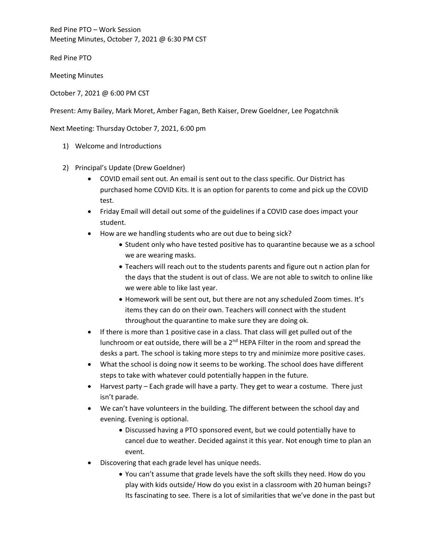Red Pine PTO – Work Session Meeting Minutes, October 7, 2021 @ 6:30 PM CST

Red Pine PTO

Meeting Minutes

October 7, 2021 @ 6:00 PM CST

Present: Amy Bailey, Mark Moret, Amber Fagan, Beth Kaiser, Drew Goeldner, Lee Pogatchnik

Next Meeting: Thursday October 7, 2021, 6:00 pm

- 1) Welcome and Introductions
- 2) Principal's Update (Drew Goeldner)
	- COVID email sent out. An email is sent out to the class specific. Our District has purchased home COVID Kits. It is an option for parents to come and pick up the COVID test.
	- Friday Email will detail out some of the guidelines if a COVID case does impact your student.
	- How are we handling students who are out due to being sick?
		- Student only who have tested positive has to quarantine because we as a school we are wearing masks.
		- Teachers will reach out to the students parents and figure out n action plan for the days that the student is out of class. We are not able to switch to online like we were able to like last year.
		- Homework will be sent out, but there are not any scheduled Zoom times. It's items they can do on their own. Teachers will connect with the student throughout the quarantine to make sure they are doing ok.
	- If there is more than 1 positive case in a class. That class will get pulled out of the lunchroom or eat outside, there will be a  $2<sup>nd</sup>$  HEPA Filter in the room and spread the desks a part. The school is taking more steps to try and minimize more positive cases.
	- What the school is doing now it seems to be working. The school does have different steps to take with whatever could potentially happen in the future.
	- Harvest party Each grade will have a party. They get to wear a costume. There just isn't parade.
	- We can't have volunteers in the building. The different between the school day and evening. Evening is optional.
		- Discussed having a PTO sponsored event, but we could potentially have to cancel due to weather. Decided against it this year. Not enough time to plan an event.
	- Discovering that each grade level has unique needs.
		- You can't assume that grade levels have the soft skills they need. How do you play with kids outside/ How do you exist in a classroom with 20 human beings? Its fascinating to see. There is a lot of similarities that we've done in the past but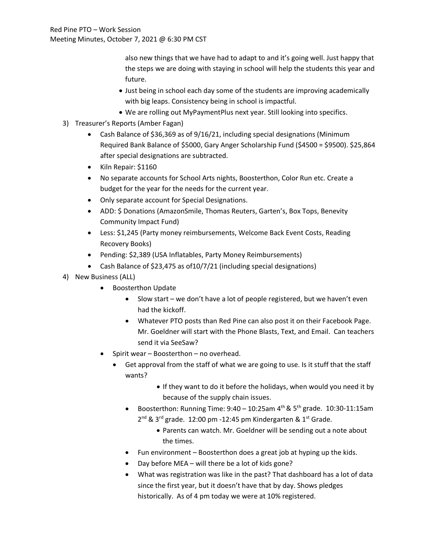also new things that we have had to adapt to and it's going well. Just happy that the steps we are doing with staying in school will help the students this year and future.

- Just being in school each day some of the students are improving academically with big leaps. Consistency being in school is impactful.
- We are rolling out MyPaymentPlus next year. Still looking into specifics.
- 3) Treasurer's Reports (Amber Fagan)
	- Cash Balance of \$36,369 as of 9/16/21, including special designations (Minimum Required Bank Balance of \$5000, Gary Anger Scholarship Fund (\$4500 = \$9500). \$25,864 after special designations are subtracted.
	- Kiln Repair: \$1160
	- No separate accounts for School Arts nights, Boosterthon, Color Run etc. Create a budget for the year for the needs for the current year.
	- Only separate account for Special Designations.
	- ADD: \$ Donations (AmazonSmile, Thomas Reuters, Garten's, Box Tops, Benevity Community Impact Fund)
	- Less: \$1,245 (Party money reimbursements, Welcome Back Event Costs, Reading Recovery Books)
	- Pending: \$2,389 (USA Inflatables, Party Money Reimbursements)
	- Cash Balance of \$23,475 as of 10/7/21 (including special designations)
- 4) New Business (ALL)
	- Boosterthon Update
		- Slow start we don't have a lot of people registered, but we haven't even had the kickoff.
		- Whatever PTO posts than Red Pine can also post it on their Facebook Page. Mr. Goeldner will start with the Phone Blasts, Text, and Email. Can teachers send it via SeeSaw?
	- Spirit wear Boosterthon no overhead.
		- Get approval from the staff of what we are going to use. Is it stuff that the staff wants?
			- If they want to do it before the holidays, when would you need it by because of the supply chain issues.
			- Boosterthon: Running Time:  $9:40 10:25$ am  $4<sup>th</sup>$  &  $5<sup>th</sup>$  grade. 10:30-11:15am  $2^{nd}$  &  $3^{rd}$  grade. 12:00 pm -12:45 pm Kindergarten &  $1^{st}$  Grade.
				- Parents can watch. Mr. Goeldner will be sending out a note about the times.
			- Fun environment Boosterthon does a great job at hyping up the kids.
			- Day before MEA will there be a lot of kids gone?
			- What was registration was like in the past? That dashboard has a lot of data since the first year, but it doesn't have that by day. Shows pledges historically. As of 4 pm today we were at 10% registered.